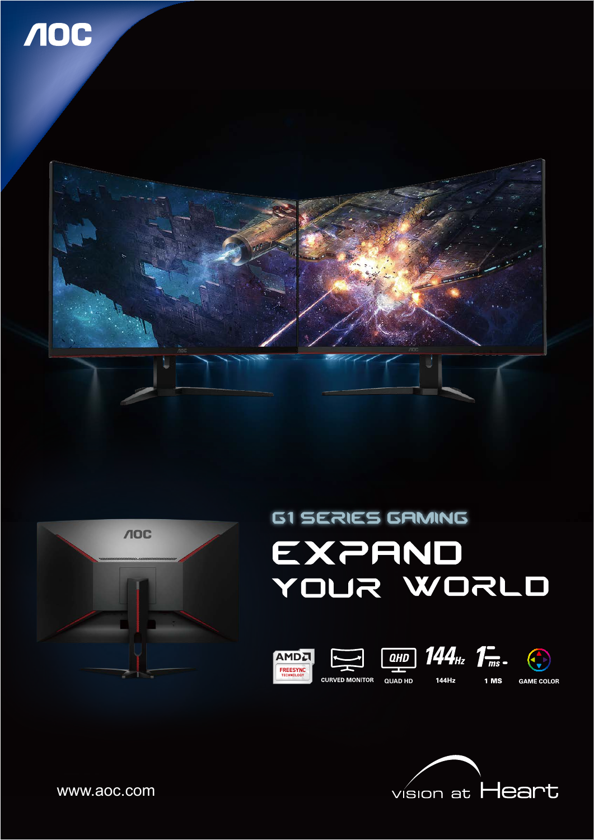





# **G1 SERIES GAMING EXPAND** YOUR WORLD





**GAME COLOR** 

www.aoc.com